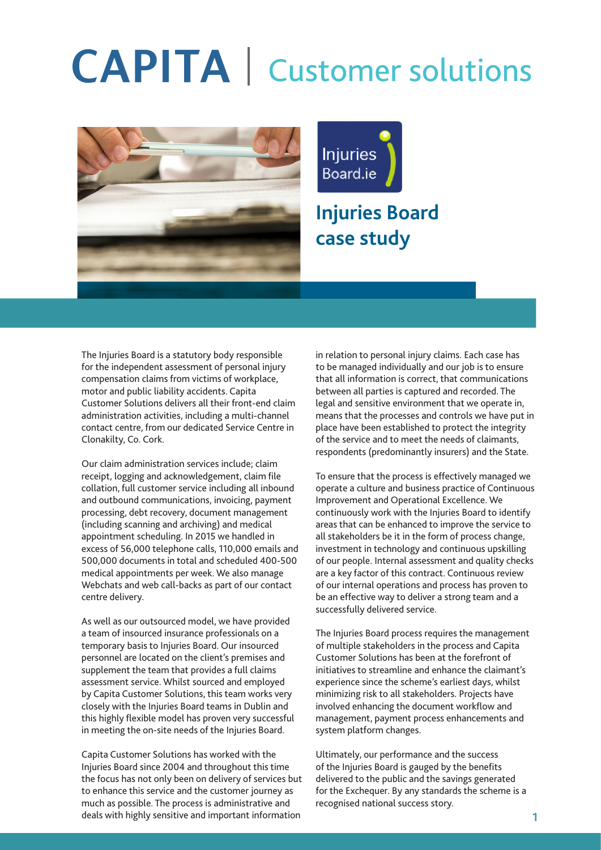## **CAPITA** | Customer solutions





### **Injuries Board case study**

The Injuries Board is a statutory body responsible for the independent assessment of personal injury compensation claims from victims of workplace, motor and public liability accidents. Capita Customer Solutions delivers all their front-end claim administration activities, including a multi-channel contact centre, from our dedicated Service Centre in Clonakilty, Co. Cork.

Our claim administration services include; claim receipt, logging and acknowledgement, claim file collation, full customer service including all inbound and outbound communications, invoicing, payment processing, debt recovery, document management (including scanning and archiving) and medical appointment scheduling. In 2015 we handled in excess of 56,000 telephone calls, 110,000 emails and 500,000 documents in total and scheduled 400-500 medical appointments per week. We also manage Webchats and web call-backs as part of our contact centre delivery.

As well as our outsourced model, we have provided a team of insourced insurance professionals on a temporary basis to Injuries Board. Our insourced personnel are located on the client's premises and supplement the team that provides a full claims assessment service. Whilst sourced and employed by Capita Customer Solutions, this team works very closely with the Injuries Board teams in Dublin and this highly flexible model has proven very successful in meeting the on-site needs of the Injuries Board.

Capita Customer Solutions has worked with the Injuries Board since 2004 and throughout this time the focus has not only been on delivery of services but to enhance this service and the customer journey as much as possible. The process is administrative and deals with highly sensitive and important information

in relation to personal injury claims. Each case has to be managed individually and our job is to ensure that all information is correct, that communications between all parties is captured and recorded. The legal and sensitive environment that we operate in, means that the processes and controls we have put in place have been established to protect the integrity of the service and to meet the needs of claimants, respondents (predominantly insurers) and the State.

To ensure that the process is effectively managed we operate a culture and business practice of Continuous Improvement and Operational Excellence. We continuously work with the Injuries Board to identify areas that can be enhanced to improve the service to all stakeholders be it in the form of process change, investment in technology and continuous upskilling of our people. Internal assessment and quality checks are a key factor of this contract. Continuous review of our internal operations and process has proven to be an effective way to deliver a strong team and a successfully delivered service.

The Injuries Board process requires the management of multiple stakeholders in the process and Capita Customer Solutions has been at the forefront of initiatives to streamline and enhance the claimant's experience since the scheme's earliest days, whilst minimizing risk to all stakeholders. Projects have involved enhancing the document workflow and management, payment process enhancements and system platform changes.

Ultimately, our performance and the success of the Injuries Board is gauged by the benefits delivered to the public and the savings generated for the Exchequer. By any standards the scheme is a recognised national success story.